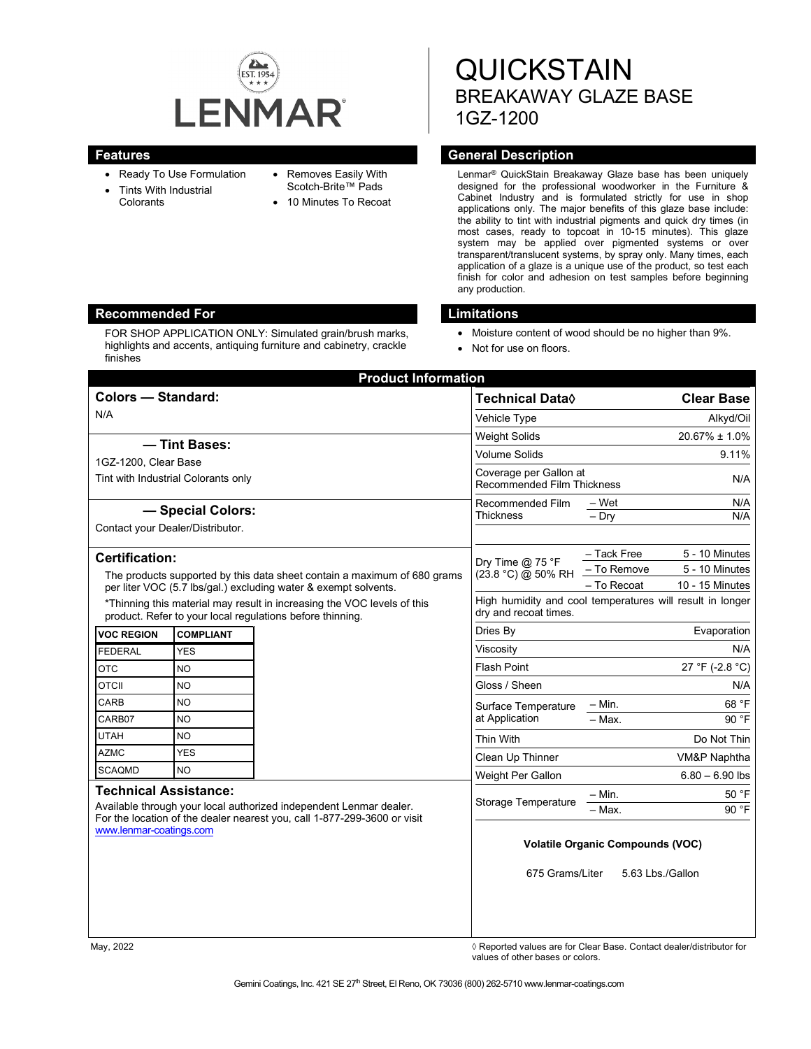

- Ready To Use Formulation
- Tints With Industrial **Colorants**
- Removes Easily With Scotch-Brite™ Pads
	- 10 Minutes To Recoat

**QUICKSTAIN** BREAKAWAY GLAZE BASE 1GZ-1200

# **Features General Description**

Lenmar® QuickStain Breakaway Glaze base has been uniquely designed for the professional woodworker in the Furniture & Cabinet Industry and is formulated strictly for use in shop applications only. The major benefits of this glaze base include: the ability to tint with industrial pigments and quick dry times (in most cases, ready to topcoat in 10-15 minutes). This glaze system may be applied over pigmented systems or over transparent/translucent systems, by spray only. Many times, each application of a glaze is a unique use of the product, so test each finish for color and adhesion on test samples before beginning any production.

## **Recommended For Limitations**

FOR SHOP APPLICATION ONLY: Simulated grain/brush marks, highlights and accents, antiquing furniture and cabinetry, crackle finishes

- Moisture content of wood should be no higher than 9%.
- Not for use on floors.

| <b>Colors - Standard:</b>                                                                                                                                                                                 |                  |  | <b>Technical Data</b> ♦                                                            |             | <b>Clear Base</b> |
|-----------------------------------------------------------------------------------------------------------------------------------------------------------------------------------------------------------|------------------|--|------------------------------------------------------------------------------------|-------------|-------------------|
| N/A                                                                                                                                                                                                       |                  |  | Vehicle Type                                                                       |             | Alkyd/Oil         |
|                                                                                                                                                                                                           |                  |  | <b>Weight Solids</b>                                                               |             | 20.67% ± 1.0%     |
| - Tint Bases:                                                                                                                                                                                             |                  |  | <b>Volume Solids</b>                                                               |             | 9.11%             |
| 1GZ-1200. Clear Base<br>Tint with Industrial Colorants only                                                                                                                                               |                  |  | Coverage per Gallon at                                                             |             | N/A               |
|                                                                                                                                                                                                           |                  |  | <b>Recommended Film Thickness</b>                                                  |             |                   |
| - Special Colors:                                                                                                                                                                                         |                  |  | Recommended Film                                                                   | – Wet       | N/A               |
| Contact your Dealer/Distributor.                                                                                                                                                                          |                  |  | <b>Thickness</b>                                                                   | $-$ Dry     | N/A               |
| Certification:                                                                                                                                                                                            |                  |  | Dry Time $@$ 75 °F<br>(23.8 °C) @ 50% RH                                           | - Tack Free | 5 - 10 Minutes    |
| The products supported by this data sheet contain a maximum of 680 grams<br>per liter VOC (5.7 lbs/gal.) excluding water & exempt solvents.                                                               |                  |  |                                                                                    | - To Remove | 5 - 10 Minutes    |
|                                                                                                                                                                                                           |                  |  |                                                                                    | - To Recoat | 10 - 15 Minutes   |
| *Thinning this material may result in increasing the VOC levels of this<br>product. Refer to your local regulations before thinning.                                                                      |                  |  | High humidity and cool temperatures will result in longer<br>dry and recoat times. |             |                   |
| <b>VOC REGION</b>                                                                                                                                                                                         | <b>COMPLIANT</b> |  | Evaporation<br>Dries By                                                            |             |                   |
| <b>FEDERAL</b>                                                                                                                                                                                            | <b>YES</b>       |  | Viscosity                                                                          |             | N/A               |
| <b>OTC</b>                                                                                                                                                                                                | NO               |  | <b>Flash Point</b>                                                                 |             | 27 °F (-2.8 °C)   |
| <b>OTCII</b>                                                                                                                                                                                              | NO.              |  | Gloss / Sheen                                                                      |             | N/A               |
| CARB                                                                                                                                                                                                      | <b>NO</b>        |  | Surface Temperature<br>at Application                                              | - Min.      | 68 °F             |
| CARB07                                                                                                                                                                                                    | <b>NO</b>        |  |                                                                                    | $-$ Max.    | 90 °F             |
| <b>UTAH</b>                                                                                                                                                                                               | <b>NO</b>        |  | <b>Thin With</b>                                                                   |             | Do Not Thin       |
| <b>AZMC</b>                                                                                                                                                                                               | <b>YES</b>       |  | Clean Up Thinner                                                                   |             | VM&P Naphtha      |
| <b>SCAQMD</b>                                                                                                                                                                                             | <b>NO</b>        |  | Weight Per Gallon                                                                  |             | $6.80 - 6.90$ lbs |
| <b>Technical Assistance:</b><br>Available through your local authorized independent Lenmar dealer.<br>For the location of the dealer nearest you, call 1-877-299-3600 or visit<br>www.lenmar-coatings.com |                  |  | Storage Temperature                                                                | – Min.      | 50 °F             |
|                                                                                                                                                                                                           |                  |  |                                                                                    | $-$ Max.    | 90 °F             |
|                                                                                                                                                                                                           |                  |  | <b>Volatile Organic Compounds (VOC)</b><br>675 Grams/Liter<br>5.63 Lbs./Gallon     |             |                   |
|                                                                                                                                                                                                           |                  |  |                                                                                    |             |                   |

May, 2022 *May, 2022 Reported values are for Clear Base. Contact dealer/distributor for* $\Diamond$  **Reported values are for Clear Base. Contact dealer/distributor for** values of other bases or colors.